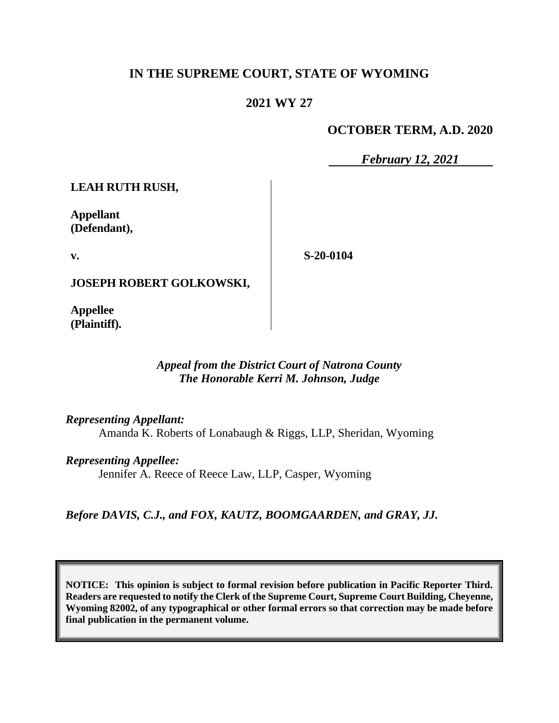## **IN THE SUPREME COURT, STATE OF WYOMING**

## **2021 WY 27**

### **OCTOBER TERM, A.D. 2020**

*February 12, 2021*

**LEAH RUTH RUSH,**

**Appellant (Defendant),**

**v.**

**S-20-0104**

#### **JOSEPH ROBERT GOLKOWSKI,**

**Appellee (Plaintiff).**

#### *Appeal from the District Court of Natrona County The Honorable Kerri M. Johnson, Judge*

*Representing Appellant:*

Amanda K. Roberts of Lonabaugh & Riggs, LLP, Sheridan, Wyoming

*Representing Appellee:*

Jennifer A. Reece of Reece Law, LLP, Casper, Wyoming

*Before DAVIS, C.J., and FOX, KAUTZ, BOOMGAARDEN, and GRAY, JJ.*

**NOTICE: This opinion is subject to formal revision before publication in Pacific Reporter Third. Readers are requested to notify the Clerk of the Supreme Court, Supreme Court Building, Cheyenne, Wyoming 82002, of any typographical or other formal errors so that correction may be made before final publication in the permanent volume.**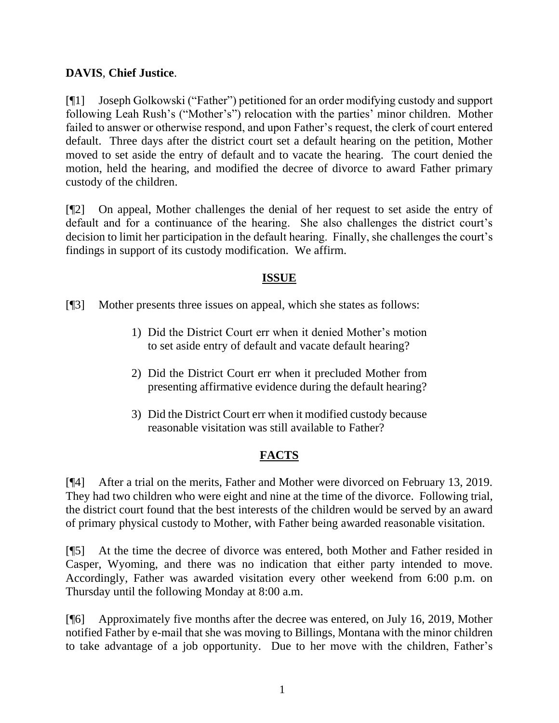## **DAVIS**, **Chief Justice**.

[¶1] Joseph Golkowski ("Father") petitioned for an order modifying custody and support following Leah Rush's ("Mother's") relocation with the parties' minor children. Mother failed to answer or otherwise respond, and upon Father's request, the clerk of court entered default. Three days after the district court set a default hearing on the petition, Mother moved to set aside the entry of default and to vacate the hearing. The court denied the motion, held the hearing, and modified the decree of divorce to award Father primary custody of the children.

[¶2] On appeal, Mother challenges the denial of her request to set aside the entry of default and for a continuance of the hearing. She also challenges the district court's decision to limit her participation in the default hearing. Finally, she challenges the court's findings in support of its custody modification. We affirm.

## **ISSUE**

[¶3] Mother presents three issues on appeal, which she states as follows:

- 1) Did the District Court err when it denied Mother's motion to set aside entry of default and vacate default hearing?
- 2) Did the District Court err when it precluded Mother from presenting affirmative evidence during the default hearing?
- 3) Did the District Court err when it modified custody because reasonable visitation was still available to Father?

# **FACTS**

[¶4] After a trial on the merits, Father and Mother were divorced on February 13, 2019. They had two children who were eight and nine at the time of the divorce. Following trial, the district court found that the best interests of the children would be served by an award of primary physical custody to Mother, with Father being awarded reasonable visitation.

[¶5] At the time the decree of divorce was entered, both Mother and Father resided in Casper, Wyoming, and there was no indication that either party intended to move. Accordingly, Father was awarded visitation every other weekend from 6:00 p.m. on Thursday until the following Monday at 8:00 a.m.

[¶6] Approximately five months after the decree was entered, on July 16, 2019, Mother notified Father by e-mail that she was moving to Billings, Montana with the minor children to take advantage of a job opportunity. Due to her move with the children, Father's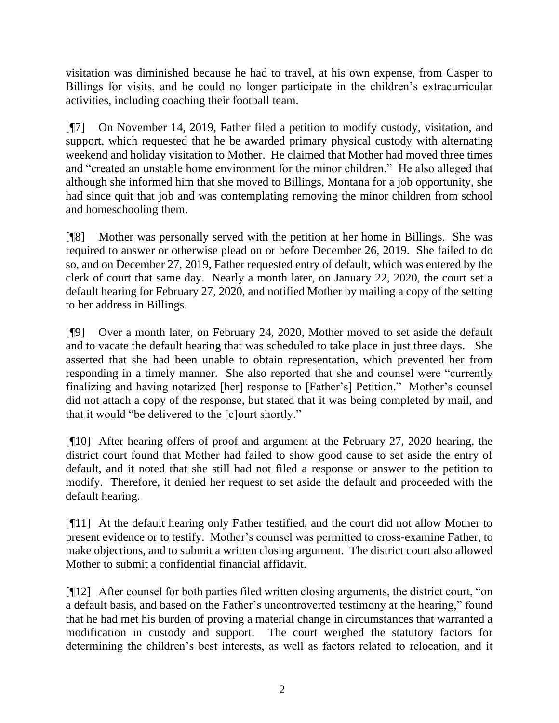visitation was diminished because he had to travel, at his own expense, from Casper to Billings for visits, and he could no longer participate in the children's extracurricular activities, including coaching their football team.

[¶7] On November 14, 2019, Father filed a petition to modify custody, visitation, and support, which requested that he be awarded primary physical custody with alternating weekend and holiday visitation to Mother. He claimed that Mother had moved three times and "created an unstable home environment for the minor children." He also alleged that although she informed him that she moved to Billings, Montana for a job opportunity, she had since quit that job and was contemplating removing the minor children from school and homeschooling them.

[¶8] Mother was personally served with the petition at her home in Billings. She was required to answer or otherwise plead on or before December 26, 2019. She failed to do so, and on December 27, 2019, Father requested entry of default, which was entered by the clerk of court that same day. Nearly a month later, on January 22, 2020, the court set a default hearing for February 27, 2020, and notified Mother by mailing a copy of the setting to her address in Billings.

[¶9] Over a month later, on February 24, 2020, Mother moved to set aside the default and to vacate the default hearing that was scheduled to take place in just three days. She asserted that she had been unable to obtain representation, which prevented her from responding in a timely manner. She also reported that she and counsel were "currently finalizing and having notarized [her] response to [Father's] Petition." Mother's counsel did not attach a copy of the response, but stated that it was being completed by mail, and that it would "be delivered to the [c]ourt shortly."

[¶10] After hearing offers of proof and argument at the February 27, 2020 hearing, the district court found that Mother had failed to show good cause to set aside the entry of default, and it noted that she still had not filed a response or answer to the petition to modify. Therefore, it denied her request to set aside the default and proceeded with the default hearing.

[¶11] At the default hearing only Father testified, and the court did not allow Mother to present evidence or to testify. Mother's counsel was permitted to cross-examine Father, to make objections, and to submit a written closing argument. The district court also allowed Mother to submit a confidential financial affidavit.

[¶12] After counsel for both parties filed written closing arguments, the district court, "on a default basis, and based on the Father's uncontroverted testimony at the hearing," found that he had met his burden of proving a material change in circumstances that warranted a modification in custody and support. The court weighed the statutory factors for determining the children's best interests, as well as factors related to relocation, and it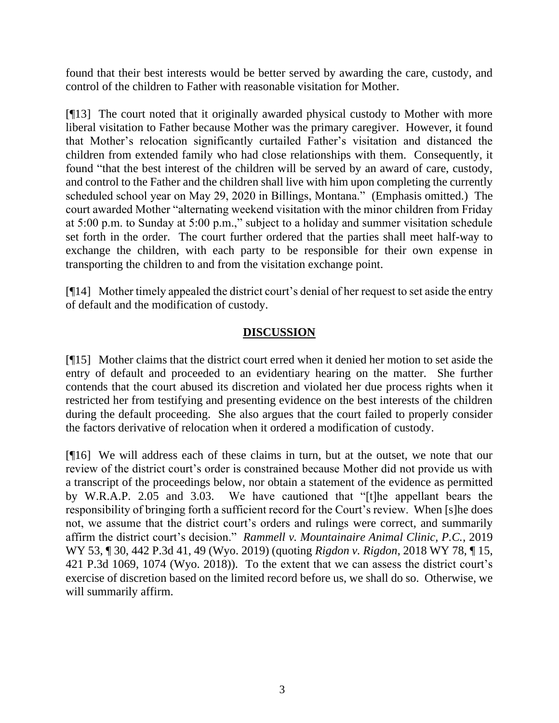found that their best interests would be better served by awarding the care, custody, and control of the children to Father with reasonable visitation for Mother.

[¶13] The court noted that it originally awarded physical custody to Mother with more liberal visitation to Father because Mother was the primary caregiver. However, it found that Mother's relocation significantly curtailed Father's visitation and distanced the children from extended family who had close relationships with them. Consequently, it found "that the best interest of the children will be served by an award of care, custody, and control to the Father and the children shall live with him upon completing the currently scheduled school year on May 29, 2020 in Billings, Montana." (Emphasis omitted.) The court awarded Mother "alternating weekend visitation with the minor children from Friday at 5:00 p.m. to Sunday at 5:00 p.m.," subject to a holiday and summer visitation schedule set forth in the order. The court further ordered that the parties shall meet half-way to exchange the children, with each party to be responsible for their own expense in transporting the children to and from the visitation exchange point.

[¶14] Mother timely appealed the district court's denial of her request to set aside the entry of default and the modification of custody.

#### **DISCUSSION**

[¶15] Mother claims that the district court erred when it denied her motion to set aside the entry of default and proceeded to an evidentiary hearing on the matter. She further contends that the court abused its discretion and violated her due process rights when it restricted her from testifying and presenting evidence on the best interests of the children during the default proceeding. She also argues that the court failed to properly consider the factors derivative of relocation when it ordered a modification of custody.

[¶16] We will address each of these claims in turn, but at the outset, we note that our review of the district court's order is constrained because Mother did not provide us with a transcript of the proceedings below, nor obtain a statement of the evidence as permitted by W.R.A.P. 2.05 and 3.03. We have cautioned that "[t]he appellant bears the responsibility of bringing forth a sufficient record for the Court's review. When [s]he does not, we assume that the district court's orders and rulings were correct, and summarily affirm the district court's decision." *Rammell v. Mountainaire Animal Clinic, P.C.*, 2019 WY 53, ¶ 30, 442 P.3d 41, 49 (Wyo. 2019) (quoting *Rigdon v. Rigdon*, 2018 WY 78, ¶ 15, 421 P.3d 1069, 1074 (Wyo. 2018)). To the extent that we can assess the district court's exercise of discretion based on the limited record before us, we shall do so. Otherwise, we will summarily affirm.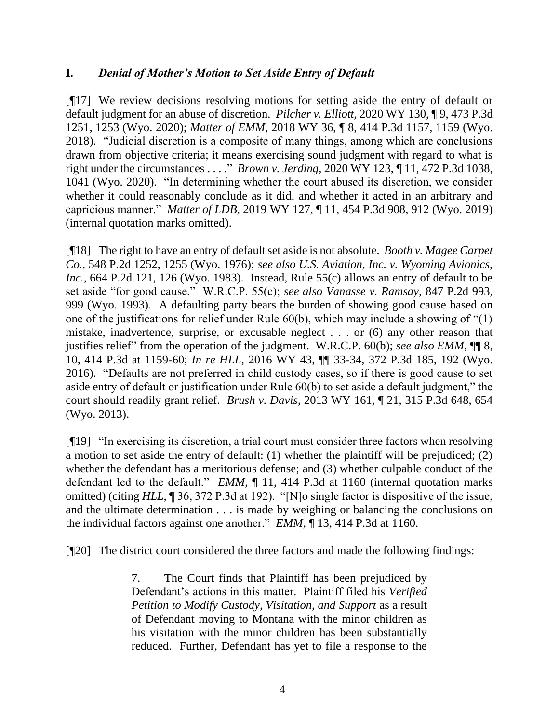## **I.** *Denial of Mother's Motion to Set Aside Entry of Default*

[¶17] We review decisions resolving motions for setting aside the entry of default or default judgment for an abuse of discretion. *Pilcher v. Elliott*, 2020 WY 130, ¶ 9, 473 P.3d 1251, 1253 (Wyo. 2020); *Matter of EMM*, 2018 WY 36, ¶ 8, 414 P.3d 1157, 1159 (Wyo. 2018). "Judicial discretion is a composite of many things, among which are conclusions drawn from objective criteria; it means exercising sound judgment with regard to what is right under the circumstances . . . ." *Brown v. Jerding*, 2020 WY 123, ¶ 11, 472 P.3d 1038, 1041 (Wyo. 2020). "In determining whether the court abused its discretion, we consider whether it could reasonably conclude as it did, and whether it acted in an arbitrary and capricious manner." *Matter of LDB*, 2019 WY 127, ¶ 11, 454 P.3d 908, 912 (Wyo. 2019) (internal quotation marks omitted).

[¶18] The right to have an entry of default set aside is not absolute. *Booth v. Magee Carpet Co.*, 548 P.2d 1252, 1255 (Wyo. 1976); *see also U.S. Aviation, Inc. v. Wyoming Avionics, Inc.*, 664 P.2d 121, 126 (Wyo. 1983). Instead, Rule 55(c) allows an entry of default to be set aside "for good cause." W.R.C.P. 55(c); *see also Vanasse v. Ramsay*, 847 P.2d 993, 999 (Wyo. 1993). A defaulting party bears the burden of showing good cause based on one of the justifications for relief under Rule 60(b), which may include a showing of "(1) mistake, inadvertence, surprise, or excusable neglect . . . or (6) any other reason that justifies relief" from the operation of the judgment. W.R.C.P. 60(b); *see also EMM*,  $\P$  8, 10, 414 P.3d at 1159-60; *In re HLL*, 2016 WY 43, ¶¶ 33-34, 372 P.3d 185, 192 (Wyo. 2016). "Defaults are not preferred in child custody cases, so if there is good cause to set aside entry of default or justification under Rule 60(b) to set aside a default judgment," the court should readily grant relief. *Brush v. Davis*, 2013 WY 161, ¶ 21, 315 P.3d 648, 654 (Wyo. 2013).

[¶19] "In exercising its discretion, a trial court must consider three factors when resolving a motion to set aside the entry of default: (1) whether the plaintiff will be prejudiced; (2) whether the defendant has a meritorious defense; and (3) whether culpable conduct of the defendant led to the default." *EMM*, ¶ 11, 414 P.3d at 1160 (internal quotation marks omitted) (citing *HLL*, ¶ 36, 372 P.3d at 192). "[N]o single factor is dispositive of the issue, and the ultimate determination . . . is made by weighing or balancing the conclusions on the individual factors against one another." *EMM*, ¶ 13, 414 P.3d at 1160.

[¶20] The district court considered the three factors and made the following findings:

7. The Court finds that Plaintiff has been prejudiced by Defendant's actions in this matter. Plaintiff filed his *Verified Petition to Modify Custody, Visitation, and Support* as a result of Defendant moving to Montana with the minor children as his visitation with the minor children has been substantially reduced. Further, Defendant has yet to file a response to the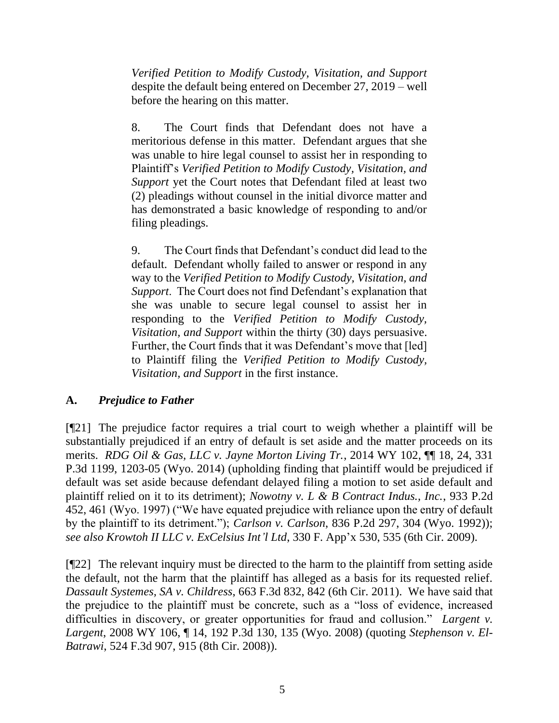*Verified Petition to Modify Custody, Visitation, and Support* despite the default being entered on December 27, 2019 – well before the hearing on this matter.

8. The Court finds that Defendant does not have a meritorious defense in this matter. Defendant argues that she was unable to hire legal counsel to assist her in responding to Plaintiff's *Verified Petition to Modify Custody, Visitation, and Support* yet the Court notes that Defendant filed at least two (2) pleadings without counsel in the initial divorce matter and has demonstrated a basic knowledge of responding to and/or filing pleadings.

9. The Court finds that Defendant's conduct did lead to the default. Defendant wholly failed to answer or respond in any way to the *Verified Petition to Modify Custody, Visitation, and Support*. The Court does not find Defendant's explanation that she was unable to secure legal counsel to assist her in responding to the *Verified Petition to Modify Custody, Visitation, and Support* within the thirty (30) days persuasive. Further, the Court finds that it was Defendant's move that [led] to Plaintiff filing the *Verified Petition to Modify Custody, Visitation, and Support* in the first instance.

### **A.** *Prejudice to Father*

[¶21] The prejudice factor requires a trial court to weigh whether a plaintiff will be substantially prejudiced if an entry of default is set aside and the matter proceeds on its merits. *RDG Oil & Gas, LLC v. Jayne Morton Living Tr.*, 2014 WY 102, ¶¶ 18, 24, 331 P.3d 1199, 1203-05 (Wyo. 2014) (upholding finding that plaintiff would be prejudiced if default was set aside because defendant delayed filing a motion to set aside default and plaintiff relied on it to its detriment); *Nowotny v. L & B Contract Indus., Inc.*, 933 P.2d 452, 461 (Wyo. 1997) ("We have equated prejudice with reliance upon the entry of default by the plaintiff to its detriment."); *Carlson v. Carlson*, 836 P.2d 297, 304 (Wyo. 1992)); *see also Krowtoh II LLC v. ExCelsius Int'l Ltd*, 330 F. App'x 530, 535 (6th Cir. 2009).

[¶22] The relevant inquiry must be directed to the harm to the plaintiff from setting aside the default, not the harm that the plaintiff has alleged as a basis for its requested relief. *Dassault Systemes, SA v. Childress*, 663 F.3d 832, 842 (6th Cir. 2011). We have said that the prejudice to the plaintiff must be concrete, such as a "loss of evidence, increased difficulties in discovery, or greater opportunities for fraud and collusion." *Largent v. Largent*, 2008 WY 106, ¶ 14, 192 P.3d 130, 135 (Wyo. 2008) (quoting *[Stephenson v. El-](http://www.westlaw.com/Link/Document/FullText?findType=Y&serNum=2015911131&pubNum=0000506&originatingDoc=Iaec2dc327ded11ddbc7bf97f340af743&refType=RP&fi=co_pp_sp_506_915&originationContext=document&vr=3.0&rs=cblt1.0&transitionType=DocumentItem&contextData=(sc.UserEnteredCitation)#co_pp_sp_506_915)Batrawi*[, 524 F.3d 907, 915 \(8th Cir. 2008\)\)](http://www.westlaw.com/Link/Document/FullText?findType=Y&serNum=2015911131&pubNum=0000506&originatingDoc=Iaec2dc327ded11ddbc7bf97f340af743&refType=RP&fi=co_pp_sp_506_915&originationContext=document&vr=3.0&rs=cblt1.0&transitionType=DocumentItem&contextData=(sc.UserEnteredCitation)#co_pp_sp_506_915).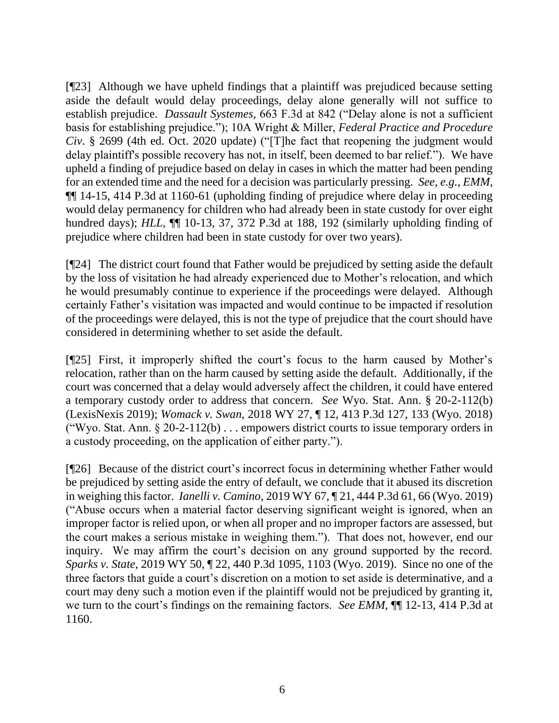[¶23] Although we have upheld findings that a plaintiff was prejudiced because setting aside the default would delay proceedings, delay alone generally will not suffice to establish prejudice. *Dassault Systemes,* 663 F.3d at 842 ("Delay alone is not a sufficient basis for establishing prejudice."); 10A Wright & Miller, *Federal Practice and Procedure Civ*. § 2699 (4th ed. Oct. 2020 update) ("[T]he fact that reopening the judgment would delay plaintiff's possible recovery has not, in itself, been deemed to bar relief."). We have upheld a finding of prejudice based on delay in cases in which the matter had been pending for an extended time and the need for a decision was particularly pressing. *See, e.g.*, *EMM*, ¶¶ 14-15, 414 P.3d at 1160-61 (upholding finding of prejudice where delay in proceeding would delay permanency for children who had already been in state custody for over eight hundred days); *HLL*,  $\P$ [ 10-13, 37, 372 P.3d at 188, 192 (similarly upholding finding of prejudice where children had been in state custody for over two years).

[¶24] The district court found that Father would be prejudiced by setting aside the default by the loss of visitation he had already experienced due to Mother's relocation, and which he would presumably continue to experience if the proceedings were delayed. Although certainly Father's visitation was impacted and would continue to be impacted if resolution of the proceedings were delayed, this is not the type of prejudice that the court should have considered in determining whether to set aside the default.

[¶25] First, it improperly shifted the court's focus to the harm caused by Mother's relocation, rather than on the harm caused by setting aside the default. Additionally, if the court was concerned that a delay would adversely affect the children, it could have entered a temporary custody order to address that concern. *See* Wyo. Stat. Ann. § 20-2-112(b) (LexisNexis 2019); *Womack v. Swan*, 2018 WY 27, ¶ 12, 413 P.3d 127, 133 (Wyo. 2018) ("Wyo. Stat. Ann.  $\S 20-2-112(b)$ ... empowers district courts to issue temporary orders in a custody proceeding, on the application of either party.").

[¶26] Because of the district court's incorrect focus in determining whether Father would be prejudiced by setting aside the entry of default, we conclude that it abused its discretion in weighing this factor. *Ianelli v. Camino*, 2019 WY 67, ¶ 21, 444 P.3d 61, 66 (Wyo. 2019) ("Abuse occurs when a material factor deserving significant weight is ignored, when an improper factor is relied upon, or when all proper and no improper factors are assessed, but the court makes a serious mistake in weighing them."). That does not, however, end our inquiry. We may affirm the court's decision on any ground supported by the record. *Sparks v. State*, 2019 WY 50, ¶ 22, 440 P.3d 1095, 1103 (Wyo. 2019). Since no one of the three factors that guide a court's discretion on a motion to set aside is determinative, and a court may deny such a motion even if the plaintiff would not be prejudiced by granting it, we turn to the court's findings on the remaining factors. *See EMM*, ¶¶ 12-13, 414 P.3d at 1160.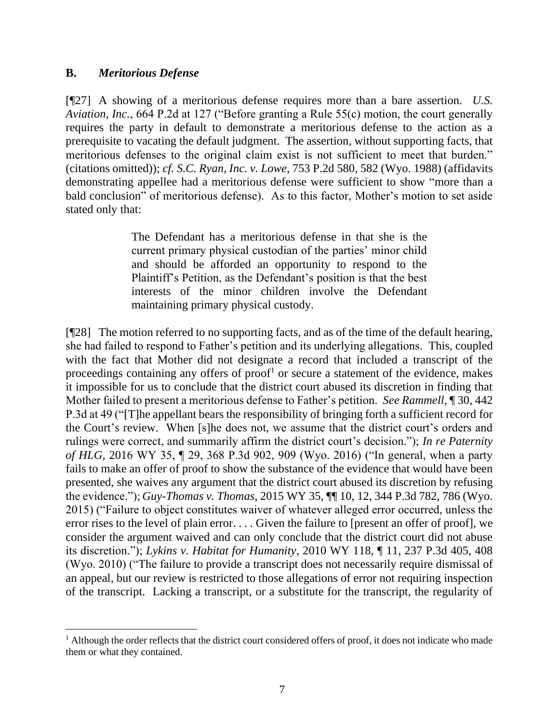#### **B.** *Meritorious Defense*

[¶27] A showing of a meritorious defense requires more than a bare assertion. *U.S. Aviation, Inc.*, 664 P.2d at 127 ("Before granting a Rule 55(c) motion, the court generally requires the party in default to demonstrate a meritorious defense to the action as a prerequisite to vacating the default judgment. The assertion, without supporting facts, that meritorious defenses to the original claim exist is not sufficient to meet that burden." (citations omitted)); *cf. S.C. Ryan, Inc. v. Lowe*, 753 P.2d 580, 582 (Wyo. 1988) (affidavits demonstrating appellee had a meritorious defense were sufficient to show "more than a bald conclusion" of meritorious defense). As to this factor, Mother's motion to set aside stated only that:

> The Defendant has a meritorious defense in that she is the current primary physical custodian of the parties' minor child and should be afforded an opportunity to respond to the Plaintiff's Petition, as the Defendant's position is that the best interests of the minor children involve the Defendant maintaining primary physical custody.

[¶28] The motion referred to no supporting facts, and as of the time of the default hearing, she had failed to respond to Father's petition and its underlying allegations. This, coupled with the fact that Mother did not designate a record that included a transcript of the proceedings containing any offers of proof<sup>1</sup> or secure a statement of the evidence, makes it impossible for us to conclude that the district court abused its discretion in finding that Mother failed to present a meritorious defense to Father's petition. *See Rammell*, ¶ 30, 442 P.3d at 49 ("[T]he appellant bears the responsibility of bringing forth a sufficient record for the Court's review. When [s]he does not, we assume that the district court's orders and rulings were correct, and summarily affirm the district court's decision."); *In re Paternity of HLG*, 2016 WY 35, ¶ 29, 368 P.3d 902, 909 (Wyo. 2016) ("In general, when a party fails to make an offer of proof to show the substance of the evidence that would have been presented, she waives any argument that the district court abused its discretion by refusing the evidence."); *Guy-Thomas v. Thomas*, 2015 WY 35, ¶¶ 10, 12, 344 P.3d 782, 786 (Wyo. 2015) ("Failure to object constitutes waiver of whatever alleged error occurred, unless the error rises to the level of plain error. . . . Given the failure to [present an offer of proof], we consider the argument waived and can only conclude that the district court did not abuse its discretion."); *Lykins v. Habitat for Humanity*, 2010 WY 118, ¶ 11, 237 P.3d 405, 408 (Wyo. 2010) ("The failure to provide a transcript does not necessarily require dismissal of an appeal, but our review is restricted to those allegations of error not requiring inspection of the transcript. Lacking a transcript, or a substitute for the transcript, the regularity of

<sup>&</sup>lt;sup>1</sup> Although the order reflects that the district court considered offers of proof, it does not indicate who made them or what they contained.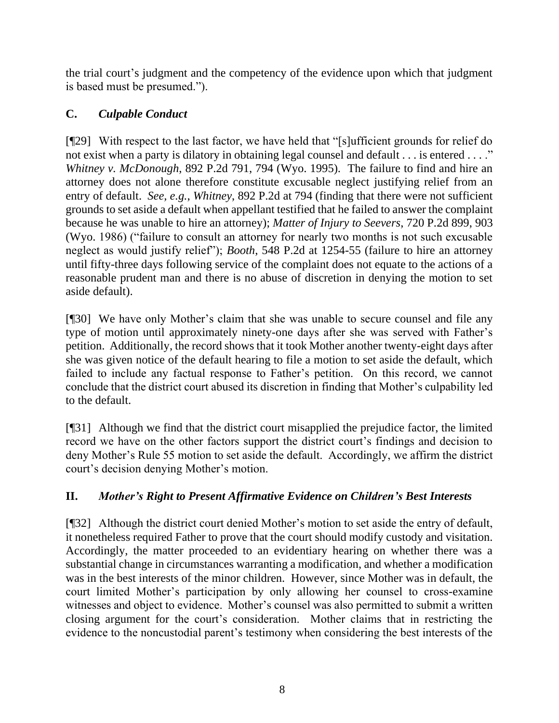the trial court's judgment and the competency of the evidence upon which that judgment is based must be presumed.").

# **C.** *Culpable Conduct*

[¶29] With respect to the last factor, we have held that "[s]ufficient grounds for relief do not exist when a party is dilatory in obtaining legal counsel and default . . . is entered . . . ." *Whitney v. McDonough*, 892 P.2d 791, 794 (Wyo. 1995). The failure to find and hire an attorney does not alone therefore constitute excusable neglect justifying relief from an entry of default. *See, e.g.*, *Whitney*, 892 P.2d at 794 (finding that there were not sufficient grounds to set aside a default when appellant testified that he failed to answer the complaint because he was unable to hire an attorney); *Matter of Injury to Seevers*, 720 P.2d 899, 903 (Wyo. 1986) ("failure to consult an attorney for nearly two months is not such excusable neglect as would justify relief"); *Booth*, 548 P.2d at 1254-55 (failure to hire an attorney until fifty-three days following service of the complaint does not equate to the actions of a reasonable prudent man and there is no abuse of discretion in denying the motion to set aside default).

[¶30] We have only Mother's claim that she was unable to secure counsel and file any type of motion until approximately ninety-one days after she was served with Father's petition. Additionally, the record shows that it took Mother another twenty-eight days after she was given notice of the default hearing to file a motion to set aside the default, which failed to include any factual response to Father's petition. On this record, we cannot conclude that the district court abused its discretion in finding that Mother's culpability led to the default.

[¶31] Although we find that the district court misapplied the prejudice factor, the limited record we have on the other factors support the district court's findings and decision to deny Mother's Rule 55 motion to set aside the default. Accordingly, we affirm the district court's decision denying Mother's motion.

# **II.** *Mother's Right to Present Affirmative Evidence on Children's Best Interests*

[¶32] Although the district court denied Mother's motion to set aside the entry of default, it nonetheless required Father to prove that the court should modify custody and visitation. Accordingly, the matter proceeded to an evidentiary hearing on whether there was a substantial change in circumstances warranting a modification, and whether a modification was in the best interests of the minor children. However, since Mother was in default, the court limited Mother's participation by only allowing her counsel to cross-examine witnesses and object to evidence. Mother's counsel was also permitted to submit a written closing argument for the court's consideration. Mother claims that in restricting the evidence to the noncustodial parent's testimony when considering the best interests of the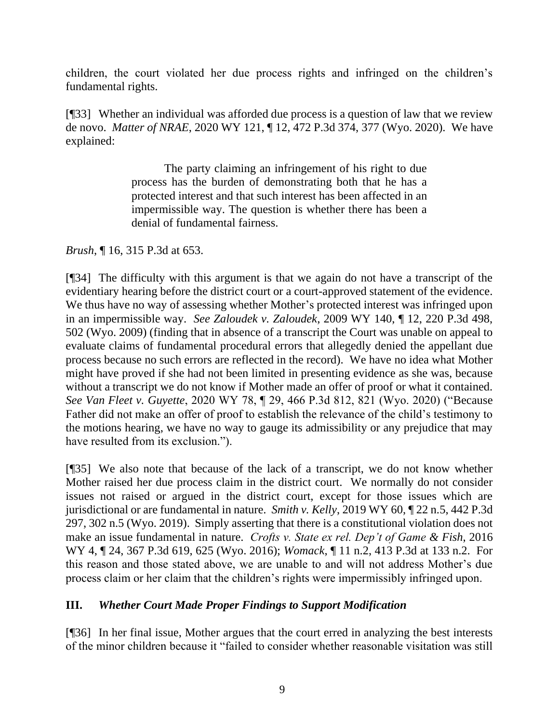children, the court violated her due process rights and infringed on the children's fundamental rights.

[¶33] Whether an individual was afforded due process is a question of law that we review de novo. *Matter of NRAE*, 2020 WY 121, ¶ 12, 472 P.3d 374, 377 (Wyo. 2020). We have explained:

> The party claiming an infringement of his right to due process has the burden of demonstrating both that he has a protected interest and that such interest has been affected in an impermissible way. The question is whether there has been a denial of fundamental fairness.

*Brush*, ¶ 16, 315 P.3d at 653.

[¶34] The difficulty with this argument is that we again do not have a transcript of the evidentiary hearing before the district court or a court-approved statement of the evidence. We thus have no way of assessing whether Mother's protected interest was infringed upon in an impermissible way. *See Zaloudek v. Zaloudek*, 2009 WY 140, ¶ 12, 220 P.3d 498, 502 (Wyo. 2009) (finding that in absence of a transcript the Court was unable on appeal to evaluate claims of fundamental procedural errors that allegedly denied the appellant due process because no such errors are reflected in the record). We have no idea what Mother might have proved if she had not been limited in presenting evidence as she was, because without a transcript we do not know if Mother made an offer of proof or what it contained. *See Van Fleet v. Guyette*, 2020 WY 78, ¶ 29, 466 P.3d 812, 821 (Wyo. 2020) ("Because Father did not make an offer of proof to establish the relevance of the child's testimony to the motions hearing, we have no way to gauge its admissibility or any prejudice that may have resulted from its exclusion.").

[¶35] We also note that because of the lack of a transcript, we do not know whether Mother raised her due process claim in the district court. We normally do not consider issues not raised or argued in the district court, except for those issues which are jurisdictional or are fundamental in nature. *Smith v. Kelly*, 2019 WY 60, ¶ 22 n.5, 442 P.3d 297, 302 n.5 (Wyo. 2019). Simply asserting that there is a constitutional violation does not make an issue fundamental in nature. *Crofts v. State ex rel. Dep't of Game & Fish*, 2016 WY 4, ¶ 24, 367 P.3d 619, 625 (Wyo. 2016); *Womack*, ¶ 11 n.2, 413 P.3d at 133 n.2. For this reason and those stated above, we are unable to and will not address Mother's due process claim or her claim that the children's rights were impermissibly infringed upon.

## **III.** *Whether Court Made Proper Findings to Support Modification*

[¶36] In her final issue, Mother argues that the court erred in analyzing the best interests of the minor children because it "failed to consider whether reasonable visitation was still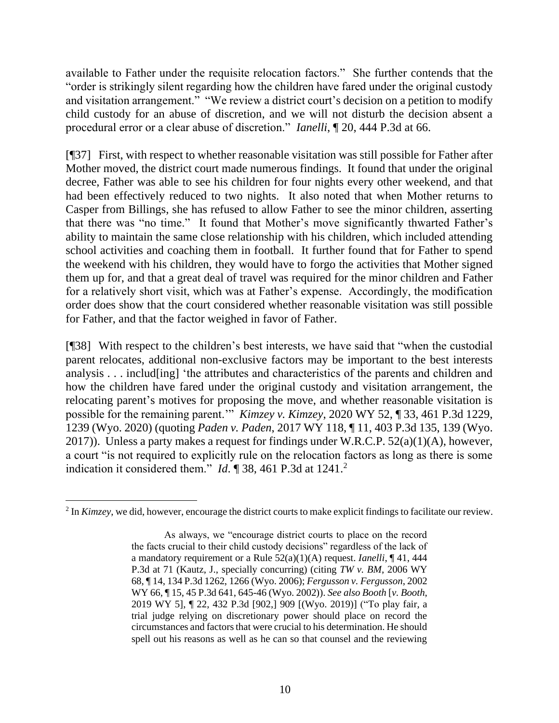available to Father under the requisite relocation factors." She further contends that the "order is strikingly silent regarding how the children have fared under the original custody and visitation arrangement." "We review a district court's decision on a petition to modify child custody for an abuse of discretion, and we will not disturb the decision absent a procedural error or a clear abuse of discretion." *Ianelli*, ¶ 20, 444 P.3d at 66.

[¶37] First, with respect to whether reasonable visitation was still possible for Father after Mother moved, the district court made numerous findings. It found that under the original decree, Father was able to see his children for four nights every other weekend, and that had been effectively reduced to two nights. It also noted that when Mother returns to Casper from Billings, she has refused to allow Father to see the minor children, asserting that there was "no time." It found that Mother's move significantly thwarted Father's ability to maintain the same close relationship with his children, which included attending school activities and coaching them in football. It further found that for Father to spend the weekend with his children, they would have to forgo the activities that Mother signed them up for, and that a great deal of travel was required for the minor children and Father for a relatively short visit, which was at Father's expense. Accordingly, the modification order does show that the court considered whether reasonable visitation was still possible for Father, and that the factor weighed in favor of Father.

[¶38] With respect to the children's best interests, we have said that "when the custodial parent relocates, additional non-exclusive factors may be important to the best interests analysis . . . includ[ing] 'the attributes and characteristics of the parents and children and how the children have fared under the original custody and visitation arrangement, the relocating parent's motives for proposing the move, and whether reasonable visitation is possible for the remaining parent.'" *Kimzey v. Kimzey*, 2020 WY 52, ¶ 33, 461 P.3d 1229, 1239 (Wyo. 2020) (quoting *Paden v. Paden*, 2017 WY 118, ¶ 11, 403 P.3d 135, 139 (Wyo. 2017)). Unless a party makes a request for findings under W.R.C.P.  $52(a)(1)(A)$ , however, a court "is not required to explicitly rule on the relocation factors as long as there is some indication it considered them." *Id*. ¶ 38, 461 P.3d at 1241.<sup>2</sup>

<sup>&</sup>lt;sup>2</sup> In *Kimzey*, we did, however, encourage the district courts to make explicit findings to facilitate our review.

As always, we "encourage district courts to place on the record the facts crucial to their child custody decisions" regardless of the lack of a mandatory requirement or a [Rule 52\(a\)\(1\)\(A\)](http://www.westlaw.com/Link/Document/FullText?findType=L&pubNum=1008760&cite=WYRRCPR52&originatingDoc=I93e4034084f111eaa778a7fbcfbea591&refType=LQ&originationContext=document&vr=3.0&rs=cblt1.0&transitionType=DocumentItem&contextData=(sc.UserEnteredCitation)) request. *Ianelli*, ¶ 41, 444 P.3d at 71 (Kautz, J., specially concurring) (citing *TW v. BM*, 2006 WY 68, ¶ 14, 134 P.3d 1262, 1266 (Wyo. 2006); *Fergusson v. Fergusson*, 2002 WY 66, ¶ 15, 45 P.3d 641, 645-46 (Wyo. 2002)). *See also Booth* [*v. Booth*, 2019 WY 5], ¶ 22, 432 P.3d [902,] 909 [(Wyo. 2019)] ("To play fair, a trial judge relying on discretionary power should place on record the circumstances and factors that were crucial to his determination. He should spell out his reasons as well as he can so that counsel and the reviewing